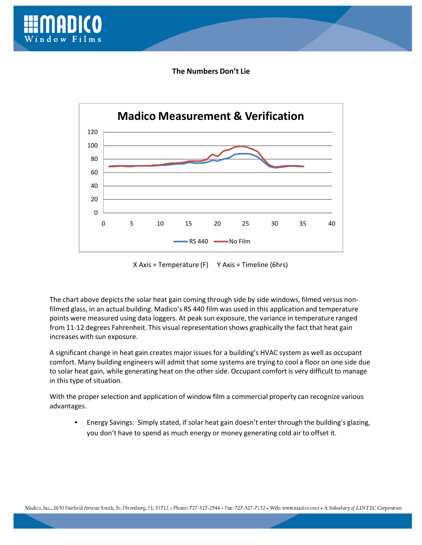

**The Numbers Don't Lie**



X Axis = Temperature (F) Y Axis = Timeline (6hrs)

The chart above depicts the solar heat gain coming through side by side windows, filmed versus non‐ filmed glass, in an actual building. Madico's RS 440 film was used in this application and temperature points were measured using data loggers. At peak sun exposure, the variance in temperature ranged from 11-12 degrees Fahrenheit. This visual representation shows graphically the fact that heat gain increases with sun exposure.

A significant change in heat gain creates major issues for a building's HVAC system as well as occupant comfort. Many building engineers will admit that some systems are trying to cool a floor on one side due to solar heat gain, while generating heat on the other side. Occupant comfort is very difficult to manage in this type of situation.

With the proper selection and application of window film a commercial property can recognize various advantages.

• Energy Savings: Simply stated, if solar heat gain doesn't enter through the building's glazing, you don't have to spend as much energy or money generating cold air to offset it.